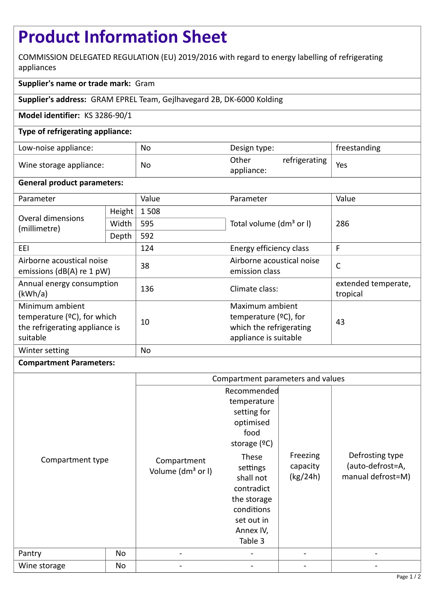# **Product Information Sheet**

COMMISSION DELEGATED REGULATION (EU) 2019/2016 with regard to energy labelling of refrigerating appliances

# **Supplier's name or trade mark:** Gram

**Supplier's address:** GRAM EPREL Team, Gejlhavegard 2B, DK-6000 Kolding

## **Model identifier:** KS 3286-90/1

## **Type of refrigerating appliance:**

| Low-noise appliance:    | No        | Design type:                         | freestanding |
|-------------------------|-----------|--------------------------------------|--------------|
| Wine storage appliance: | <b>No</b> | Other<br>refrigerating<br>appliance: | Yes          |

#### **General product parameters:**

| Parameter                                                                                        |        | Value | Parameter                                                                                       | Value                           |  |
|--------------------------------------------------------------------------------------------------|--------|-------|-------------------------------------------------------------------------------------------------|---------------------------------|--|
| Overal dimensions<br>(millimetre)                                                                | Height | 1508  |                                                                                                 | 286                             |  |
|                                                                                                  | Width  | 595   | Total volume (dm <sup>3</sup> or I)                                                             |                                 |  |
|                                                                                                  | Depth  | 592   |                                                                                                 |                                 |  |
| EEI                                                                                              |        | 124   | Energy efficiency class                                                                         | F                               |  |
| Airborne acoustical noise<br>emissions ( $dB(A)$ re 1 pW)                                        |        | 38    | Airborne acoustical noise<br>emission class                                                     | $\mathsf{C}$                    |  |
| Annual energy consumption<br>(kWh/a)                                                             |        | 136   | Climate class:                                                                                  | extended temperate,<br>tropical |  |
| Minimum ambient<br>temperature ( $°C$ ), for which<br>the refrigerating appliance is<br>suitable |        | 10    | Maximum ambient<br>temperature $(2C)$ , for<br>which the refrigerating<br>appliance is suitable | 43                              |  |
| Winter setting                                                                                   |        | No    |                                                                                                 |                                 |  |

#### **Compartment Parameters:**

|                            |    | Compartment parameters and values                                        |                                                                                                                                                                                                     |                                  |                                                          |
|----------------------------|----|--------------------------------------------------------------------------|-----------------------------------------------------------------------------------------------------------------------------------------------------------------------------------------------------|----------------------------------|----------------------------------------------------------|
| Compartment type<br>Pantry | No | Compartment<br>Volume (dm <sup>3</sup> or I)<br>$\overline{\phantom{a}}$ | Recommended<br>temperature<br>setting for<br>optimised<br>food<br>storage $(°C)$<br>These<br>settings<br>shall not<br>contradict<br>the storage<br>conditions<br>set out in<br>Annex IV,<br>Table 3 | Freezing<br>capacity<br>(kg/24h) | Defrosting type<br>(auto-defrost=A,<br>manual defrost=M) |
| Wine storage               | No |                                                                          |                                                                                                                                                                                                     |                                  |                                                          |
|                            |    |                                                                          |                                                                                                                                                                                                     |                                  |                                                          |